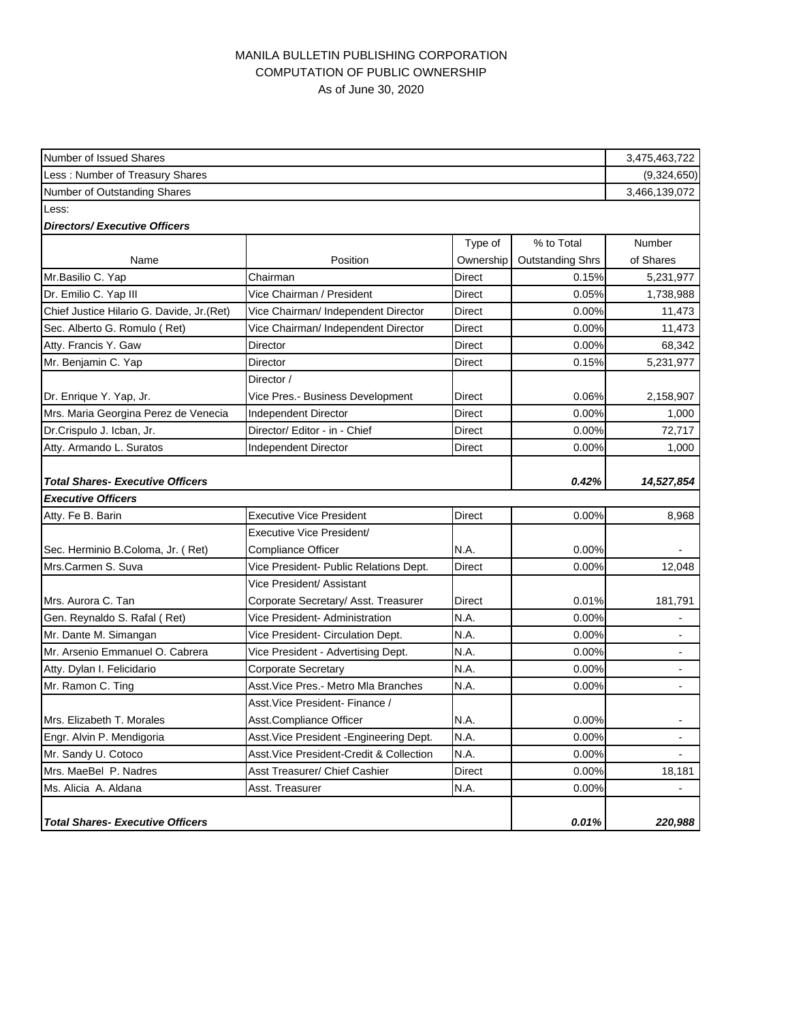## MANILA BULLETIN PUBLISHING CORPORATION COMPUTATION OF PUBLIC OWNERSHIP As of June 30, 2020

| Number of Issued Shares                    |                                          |               |                         | 3,475,463,722  |
|--------------------------------------------|------------------------------------------|---------------|-------------------------|----------------|
| Less: Number of Treasury Shares            |                                          |               |                         | (9,324,650)    |
| Number of Outstanding Shares               |                                          |               |                         |                |
| Less:                                      |                                          |               |                         |                |
| <b>Directors/Executive Officers</b>        |                                          |               |                         |                |
|                                            |                                          | Type of       | % to Total              | <b>Number</b>  |
| Name                                       | Position                                 | Ownership     | <b>Outstanding Shrs</b> | of Shares      |
| Mr.Basilio C. Yap                          | Chairman                                 | Direct        | 0.15%                   | 5,231,977      |
| Dr. Emilio C. Yap III                      | Vice Chairman / President                | Direct        | 0.05%                   | 1,738,988      |
| Chief Justice Hilario G. Davide, Jr. (Ret) | Vice Chairman/ Independent Director      | Direct        | 0.00%                   | 11,473         |
| Sec. Alberto G. Romulo (Ret)               | Vice Chairman/ Independent Director      | Direct        | 0.00%                   | 11,473         |
| Atty. Francis Y. Gaw                       | Director                                 | Direct        | 0.00%                   | 68,342         |
| Mr. Benjamin C. Yap                        | Director                                 | Direct        | 0.15%                   | 5,231,977      |
|                                            | Director /                               |               |                         |                |
| Dr. Enrique Y. Yap, Jr.                    | Vice Pres.- Business Development         | Direct        | 0.06%                   | 2,158,907      |
| Mrs. Maria Georgina Perez de Venecia       | <b>Independent Director</b>              | Direct        | 0.00%                   | 1,000          |
| Dr.Crispulo J. Icban, Jr.                  | Director/ Editor - in - Chief            | Direct        | 0.00%                   | 72,717         |
| Atty. Armando L. Suratos                   | Independent Director                     | Direct        | 0.00%                   | 1,000          |
|                                            |                                          |               |                         |                |
| <b>Total Shares- Executive Officers</b>    |                                          |               | 0.42%                   | 14,527,854     |
| <b>Executive Officers</b>                  |                                          |               |                         |                |
| Atty. Fe B. Barin                          | <b>Executive Vice President</b>          | Direct        | 0.00%                   | 8,968          |
|                                            | Executive Vice President/                |               |                         |                |
| Sec. Herminio B.Coloma, Jr. (Ret)          | <b>Compliance Officer</b>                | N.A.          | $0.00\%$                |                |
| Mrs.Carmen S. Suva                         | Vice President- Public Relations Dept.   | <b>Direct</b> | 0.00%                   | 12,048         |
|                                            | Vice President/ Assistant                |               |                         |                |
| Mrs. Aurora C. Tan                         | Corporate Secretary/ Asst. Treasurer     | Direct        | 0.01%                   | 181,791        |
| Gen. Reynaldo S. Rafal (Ret)               | Vice President- Administration           | N.A.          | 0.00%                   |                |
| Mr. Dante M. Simangan                      | Vice President- Circulation Dept.        | N.A.          | $0.00\%$                |                |
| Mr. Arsenio Emmanuel O. Cabrera            | Vice President - Advertising Dept.       | N.A.          | 0.00%                   | $\blacksquare$ |
| Atty. Dylan I. Felicidario                 | Corporate Secretary                      | N.A.          | 0.00%                   |                |
| Mr. Ramon C. Ting                          | Asst. Vice Pres. - Metro Mla Branches    | N.A.          | 0.00%                   |                |
|                                            | Asst. Vice President- Finance /          |               |                         |                |
| Mrs. Elizabeth T. Morales                  | Asst.Compliance Officer                  | N.A.          | 0.00%                   |                |
| Engr. Alvin P. Mendigoria                  | Asst. Vice President - Engineering Dept. | N.A.          | 0.00%                   | $\blacksquare$ |
| Mr. Sandy U. Cotoco                        | Asst. Vice President-Credit & Collection | N.A.          | 0.00%                   |                |
| Mrs. MaeBel P. Nadres                      | Asst Treasurer/ Chief Cashier            | Direct        | 0.00%                   | 18,181         |
| Ms. Alicia A. Aldana                       | Asst. Treasurer                          | N.A.          | 0.00%                   |                |
|                                            |                                          |               |                         |                |
| <b>Total Shares- Executive Officers</b>    |                                          |               | 0.01%                   | 220,988        |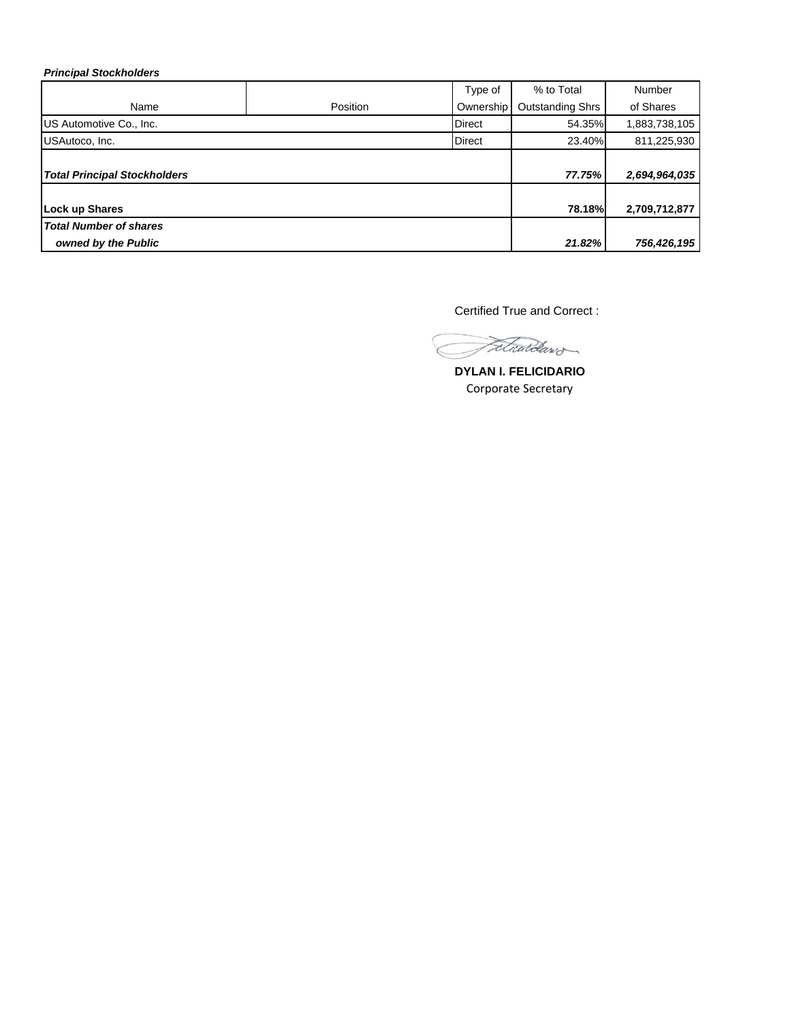## *Principal Stockholders*

|                                     |          | Type of       | % to Total              | Number        |
|-------------------------------------|----------|---------------|-------------------------|---------------|
| Name                                | Position | Ownership     | <b>Outstanding Shrs</b> | of Shares     |
| US Automotive Co., Inc.             |          | <b>Direct</b> | 54.35%                  | 1,883,738,105 |
| USAutoco, Inc.                      |          | <b>Direct</b> | 23.40%                  | 811,225,930   |
| <b>Total Principal Stockholders</b> |          |               | 77.75%                  | 2,694,964,035 |
| Lock up Shares                      |          |               | 78.18%                  | 2,709,712,877 |
| <b>Total Number of shares</b>       |          |               |                         |               |
| owned by the Public                 |          |               | 21.82%                  | 756,426,195   |

Certified True and Correct :

Fetwardawd

**DYLAN I. FELICIDARIO** Corporate Secretary